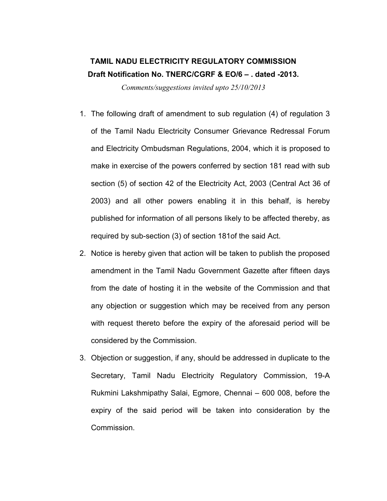## TAMIL NADU ELECTRICITY REGULATORY COMMISSION Draft Notification No. TNERC/CGRF & EO/6 – . dated -2013.

Comments/suggestions invited upto 25/10/2013

- 1. The following draft of amendment to sub regulation (4) of regulation 3 of the Tamil Nadu Electricity Consumer Grievance Redressal Forum and Electricity Ombudsman Regulations, 2004, which it is proposed to make in exercise of the powers conferred by section 181 read with sub section (5) of section 42 of the Electricity Act, 2003 (Central Act 36 of 2003) and all other powers enabling it in this behalf, is hereby published for information of all persons likely to be affected thereby, as required by sub-section (3) of section 181of the said Act.
- 2. Notice is hereby given that action will be taken to publish the proposed amendment in the Tamil Nadu Government Gazette after fifteen days from the date of hosting it in the website of the Commission and that any objection or suggestion which may be received from any person with request thereto before the expiry of the aforesaid period will be considered by the Commission.
- 3. Objection or suggestion, if any, should be addressed in duplicate to the Secretary, Tamil Nadu Electricity Regulatory Commission, 19-A Rukmini Lakshmipathy Salai, Egmore, Chennai – 600 008, before the expiry of the said period will be taken into consideration by the Commission.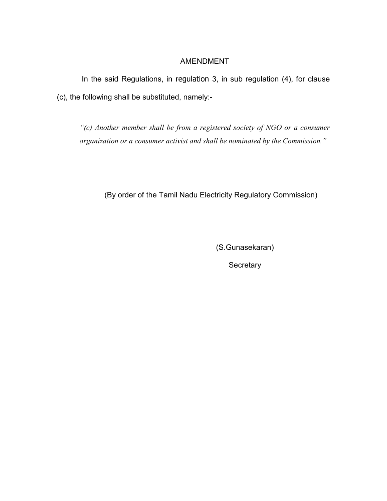## AMENDMENT

In the said Regulations, in regulation 3, in sub regulation (4), for clause (c), the following shall be substituted, namely:-

"(c) Another member shall be from a registered society of NGO or a consumer organization or a consumer activist and shall be nominated by the Commission."

(By order of the Tamil Nadu Electricity Regulatory Commission)

(S.Gunasekaran)

**Secretary**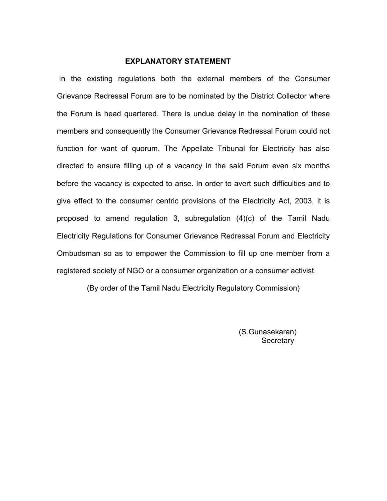## EXPLANATORY STATEMENT

 In the existing regulations both the external members of the Consumer Grievance Redressal Forum are to be nominated by the District Collector where the Forum is head quartered. There is undue delay in the nomination of these members and consequently the Consumer Grievance Redressal Forum could not function for want of quorum. The Appellate Tribunal for Electricity has also directed to ensure filling up of a vacancy in the said Forum even six months before the vacancy is expected to arise. In order to avert such difficulties and to give effect to the consumer centric provisions of the Electricity Act, 2003, it is proposed to amend regulation 3, subregulation (4)(c) of the Tamil Nadu Electricity Regulations for Consumer Grievance Redressal Forum and Electricity Ombudsman so as to empower the Commission to fill up one member from a registered society of NGO or a consumer organization or a consumer activist.

(By order of the Tamil Nadu Electricity Regulatory Commission)

(S.Gunasekaran) **Secretary**